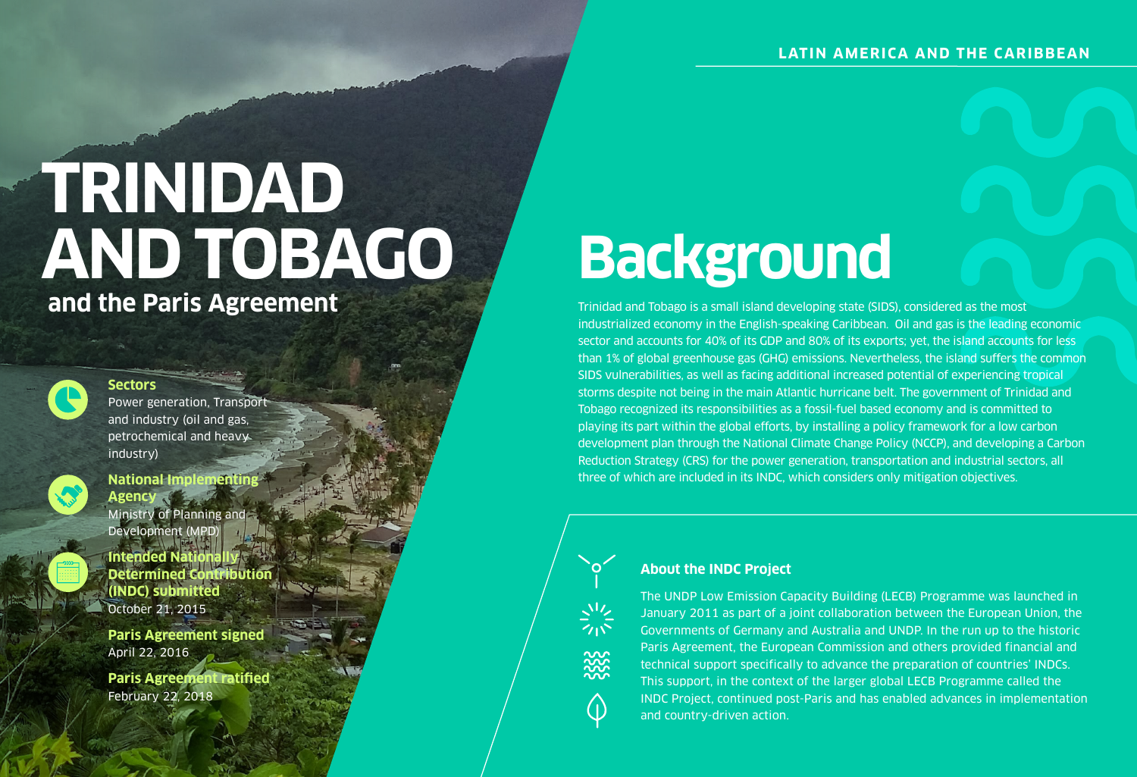### **LATIN AMERICA AND THE CARIBBEAN**

#### **Sectors**

Power generation, Transport and industry (oil and gas, petrochemical and heavy industry)



Ministry of Planning and Development (MPD)

**Intended National Determined Contribution (INDC) submitted** October 21, 2015

### **National Implementing Agency**

**Paris Agreement signed** April 22, 2016

**Paris Agreement ratified** February 22, 2018

## **Background**

## **TRINIDAD AND TOBAGO and the Paris Agreement**



Trinidad and Tobago is a small island developing state (SIDS), considered as the most industrialized economy in the English-speaking Caribbean. Oil and gas is the leading economic sector and accounts for 40% of its GDP and 80% of its exports; yet, the island accounts for less than 1% of global greenhouse gas (GHG) emissions. Nevertheless, the island suffers the common SIDS vulnerabilities, as well as facing additional increased potential of experiencing tropical storms despite not being in the main Atlantic hurricane belt. The government of Trinidad and Tobago recognized its responsibilities as a fossil-fuel based economy and is committed to playing its part within the global efforts, by installing a policy framework for a low carbon development plan through the National Climate Change Policy (NCCP), and developing a Carbon Reduction Strategy (CRS) for the power generation, transportation and industrial sectors, all three of which are included in its INDC, which considers only mitigation objectives.



#### **About the INDC Project**

The UNDP Low Emission Capacity Building (LECB) Programme was launched in January 2011 as part of a joint collaboration between the European Union, the Governments of Germany and Australia and UNDP. In the run up to the historic Paris Agreement, the European Commission and others provided financial and technical support specifically to advance the preparation of countries' INDCs. This support, in the context of the larger global LECB Programme called the INDC Project, continued post-Paris and has enabled advances in implementation and country-driven action.